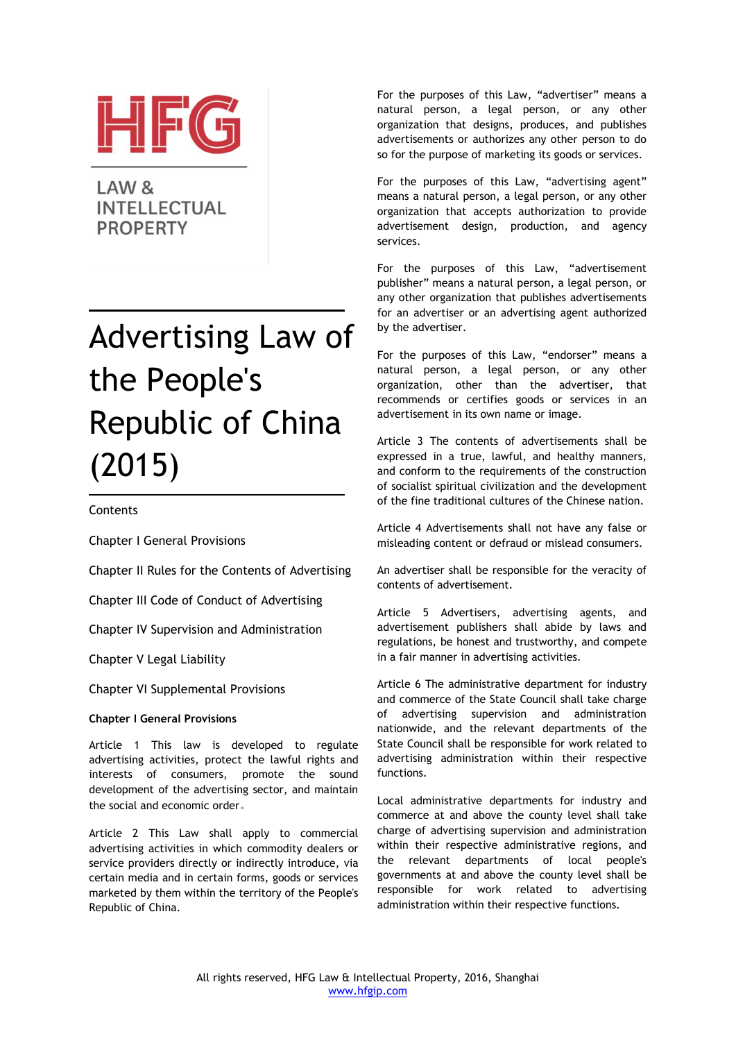

LAW<sub>&</sub> **INTELLECTUAL PROPERTY** 

# Advertising Law of the People's Republic of China (2015)

# **Contents**

Chapter I General Provisions

Chapter II Rules for the Contents of Advertising

Chapter III Code of Conduct of Advertising

Chapter IV Supervision and Administration

Chapter V Legal Liability

Chapter VI Supplemental Provisions

# **Chapter I General Provisions**

Article 1 This law is developed to regulate advertising activities, protect the lawful rights and interests of consumers, promote the sound development of the advertising sector, and maintain the social and economic order。

Article 2 This Law shall apply to commercial advertising activities in which commodity dealers or service providers directly or indirectly introduce, via certain media and in certain forms, goods or services marketed by them within the territory of the People's Republic of China.

For the purposes of this Law, "advertiser" means a natural person, a legal person, or any other organization that designs, produces, and publishes advertisements or authorizes any other person to do so for the purpose of marketing its goods or services.

For the purposes of this Law, "advertising agent" means a natural person, a legal person, or any other organization that accepts authorization to provide advertisement design, production, and agency services.

For the purposes of this Law, "advertisement publisher" means a natural person, a legal person, or any other organization that publishes advertisements for an advertiser or an advertising agent authorized by the advertiser.

For the purposes of this Law, "endorser" means a natural person, a legal person, or any other organization, other than the advertiser, that recommends or certifies goods or services in an advertisement in its own name or image.

Article 3 The contents of advertisements shall be expressed in a true, lawful, and healthy manners, and conform to the requirements of the construction of socialist spiritual civilization and the development of the fine traditional cultures of the Chinese nation.

Article 4 Advertisements shall not have any false or misleading content or defraud or mislead consumers.

An advertiser shall be responsible for the veracity of contents of advertisement.

Article 5 Advertisers, advertising agents, and advertisement publishers shall abide by laws and regulations, be honest and trustworthy, and compete in a fair manner in advertising activities.

Article 6 The administrative department for industry and commerce of the State Council shall take charge of advertising supervision and administration nationwide, and the relevant departments of the State Council shall be responsible for work related to advertising administration within their respective functions.

Local administrative departments for industry and commerce at and above the county level shall take charge of advertising supervision and administration within their respective administrative regions, and the relevant departments of local people's governments at and above the county level shall be responsible for work related to advertising administration within their respective functions.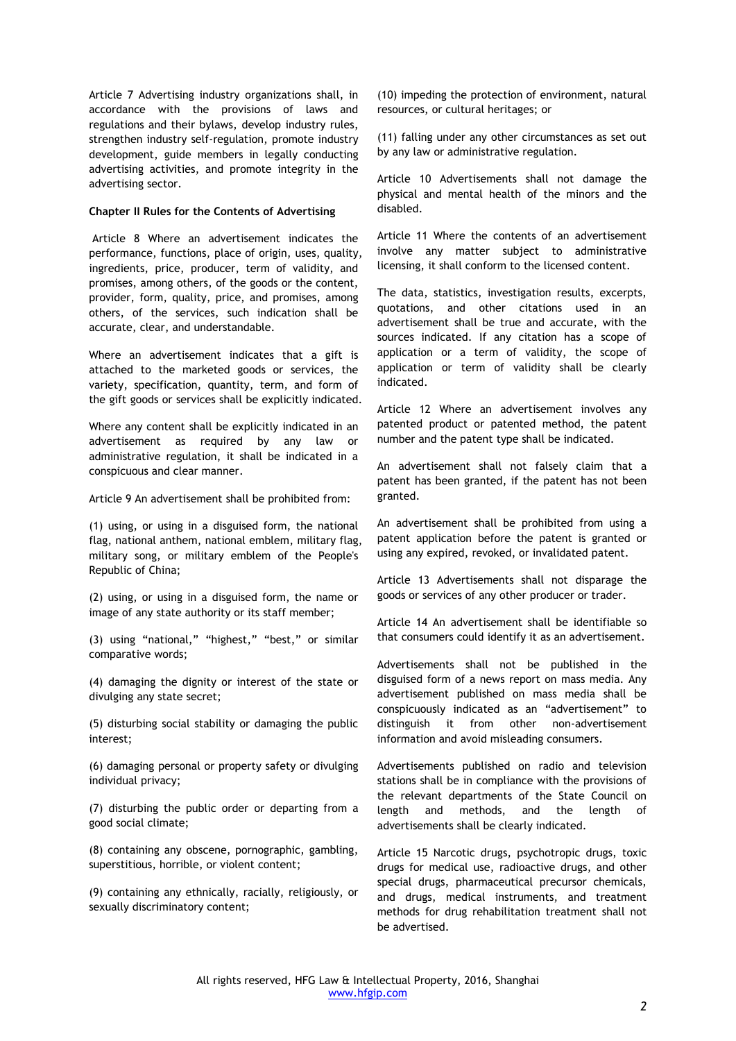Article 7 Advertising industry organizations shall, in accordance with the provisions of laws and regulations and their bylaws, develop industry rules, strengthen industry self-regulation, promote industry development, guide members in legally conducting advertising activities, and promote integrity in the advertising sector.

#### **Chapter II Rules for the Contents of Advertising**

Article 8 Where an advertisement indicates the performance, functions, place of origin, uses, quality, ingredients, price, producer, term of validity, and promises, among others, of the goods or the content, provider, form, quality, price, and promises, among others, of the services, such indication shall be accurate, clear, and understandable.

Where an advertisement indicates that a gift is attached to the marketed goods or services, the variety, specification, quantity, term, and form of the gift goods or services shall be explicitly indicated.

Where any content shall be explicitly indicated in an advertisement as required by any law or administrative regulation, it shall be indicated in a conspicuous and clear manner.

Article 9 An advertisement shall be prohibited from:

(1) using, or using in a disguised form, the national flag, national anthem, national emblem, military flag, military song, or military emblem of the People's Republic of China;

(2) using, or using in a disguised form, the name or image of any state authority or its staff member;

(3) using "national," "highest," "best," or similar comparative words;

(4) damaging the dignity or interest of the state or divulging any state secret;

(5) disturbing social stability or damaging the public interest;

(6) damaging personal or property safety or divulging individual privacy;

(7) disturbing the public order or departing from a good social climate;

(8) containing any obscene, pornographic, gambling, superstitious, horrible, or violent content;

(9) containing any ethnically, racially, religiously, or sexually discriminatory content;

(10) impeding the protection of environment, natural resources, or cultural heritages; or

(11) falling under any other circumstances as set out by any law or administrative regulation.

Article 10 Advertisements shall not damage the physical and mental health of the minors and the disabled.

Article 11 Where the contents of an advertisement involve any matter subject to administrative licensing, it shall conform to the licensed content.

The data, statistics, investigation results, excerpts, quotations, and other citations used in an advertisement shall be true and accurate, with the sources indicated. If any citation has a scope of application or a term of validity, the scope of application or term of validity shall be clearly indicated.

Article 12 Where an advertisement involves any patented product or patented method, the patent number and the patent type shall be indicated.

An advertisement shall not falsely claim that a patent has been granted, if the patent has not been granted.

An advertisement shall be prohibited from using a patent application before the patent is granted or using any expired, revoked, or invalidated patent.

Article 13 Advertisements shall not disparage the goods or services of any other producer or trader.

Article 14 An advertisement shall be identifiable so that consumers could identify it as an advertisement.

Advertisements shall not be published in the disguised form of a news report on mass media. Any advertisement published on mass media shall be conspicuously indicated as an "advertisement" to distinguish it from other non-advertisement information and avoid misleading consumers.

Advertisements published on radio and television stations shall be in compliance with the provisions of the relevant departments of the State Council on length and methods, and the length of advertisements shall be clearly indicated.

Article 15 Narcotic drugs, psychotropic drugs, toxic drugs for medical use, radioactive drugs, and other special drugs, pharmaceutical precursor chemicals, and drugs, medical instruments, and treatment methods for drug rehabilitation treatment shall not be advertised.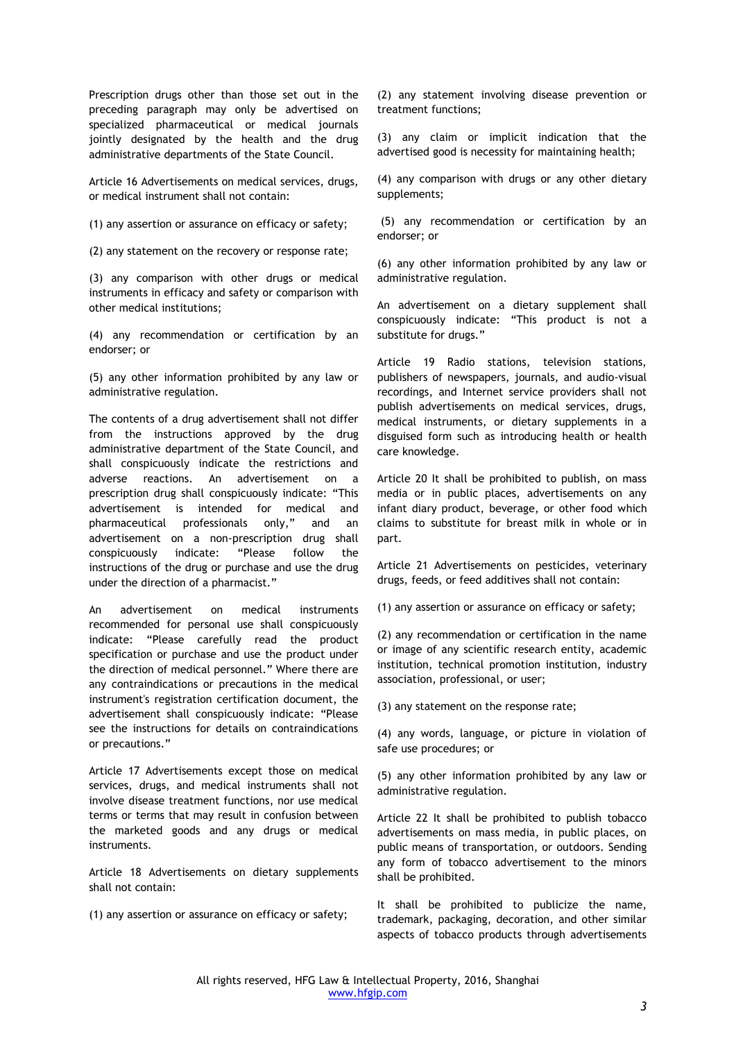Prescription drugs other than those set out in the preceding paragraph may only be advertised on specialized pharmaceutical or medical journals jointly designated by the health and the drug administrative departments of the State Council.

Article 16 Advertisements on medical services, drugs, or medical instrument shall not contain:

(1) any assertion or assurance on efficacy or safety;

(2) any statement on the recovery or response rate;

(3) any comparison with other drugs or medical instruments in efficacy and safety or comparison with other medical institutions;

(4) any recommendation or certification by an endorser; or

(5) any other information prohibited by any law or administrative regulation.

The contents of a drug advertisement shall not differ from the instructions approved by the drug administrative department of the State Council, and shall conspicuously indicate the restrictions and adverse reactions. An advertisement on a prescription drug shall conspicuously indicate: "This advertisement is intended for medical and pharmaceutical professionals only," and an advertisement on a non-prescription drug shall conspicuously indicate: "Please follow the instructions of the drug or purchase and use the drug under the direction of a pharmacist."

An advertisement on medical instruments recommended for personal use shall conspicuously indicate: "Please carefully read the product specification or purchase and use the product under the direction of medical personnel." Where there are any contraindications or precautions in the medical instrument's registration certification document, the advertisement shall conspicuously indicate: "Please see the instructions for details on contraindications or precautions."

Article 17 Advertisements except those on medical services, drugs, and medical instruments shall not involve disease treatment functions, nor use medical terms or terms that may result in confusion between the marketed goods and any drugs or medical instruments.

Article 18 Advertisements on dietary supplements shall not contain:

(1) any assertion or assurance on efficacy or safety;

(2) any statement involving disease prevention or treatment functions;

(3) any claim or implicit indication that the advertised good is necessity for maintaining health;

(4) any comparison with drugs or any other dietary supplements;

(5) any recommendation or certification by an endorser; or

(6) any other information prohibited by any law or administrative regulation.

An advertisement on a dietary supplement shall conspicuously indicate: "This product is not a substitute for drugs."

Article 19 Radio stations, television stations, publishers of newspapers, journals, and audio-visual recordings, and Internet service providers shall not publish advertisements on medical services, drugs, medical instruments, or dietary supplements in a disguised form such as introducing health or health care knowledge.

Article 20 It shall be prohibited to publish, on mass media or in public places, advertisements on any infant diary product, beverage, or other food which claims to substitute for breast milk in whole or in part.

Article 21 Advertisements on pesticides, veterinary drugs, feeds, or feed additives shall not contain:

(1) any assertion or assurance on efficacy or safety;

(2) any recommendation or certification in the name or image of any scientific research entity, academic institution, technical promotion institution, industry association, professional, or user;

(3) any statement on the response rate;

(4) any words, language, or picture in violation of safe use procedures; or

(5) any other information prohibited by any law or administrative regulation.

Article 22 It shall be prohibited to publish tobacco advertisements on mass media, in public places, on public means of transportation, or outdoors. Sending any form of tobacco advertisement to the minors shall be prohibited.

It shall be prohibited to publicize the name, trademark, packaging, decoration, and other similar aspects of tobacco products through advertisements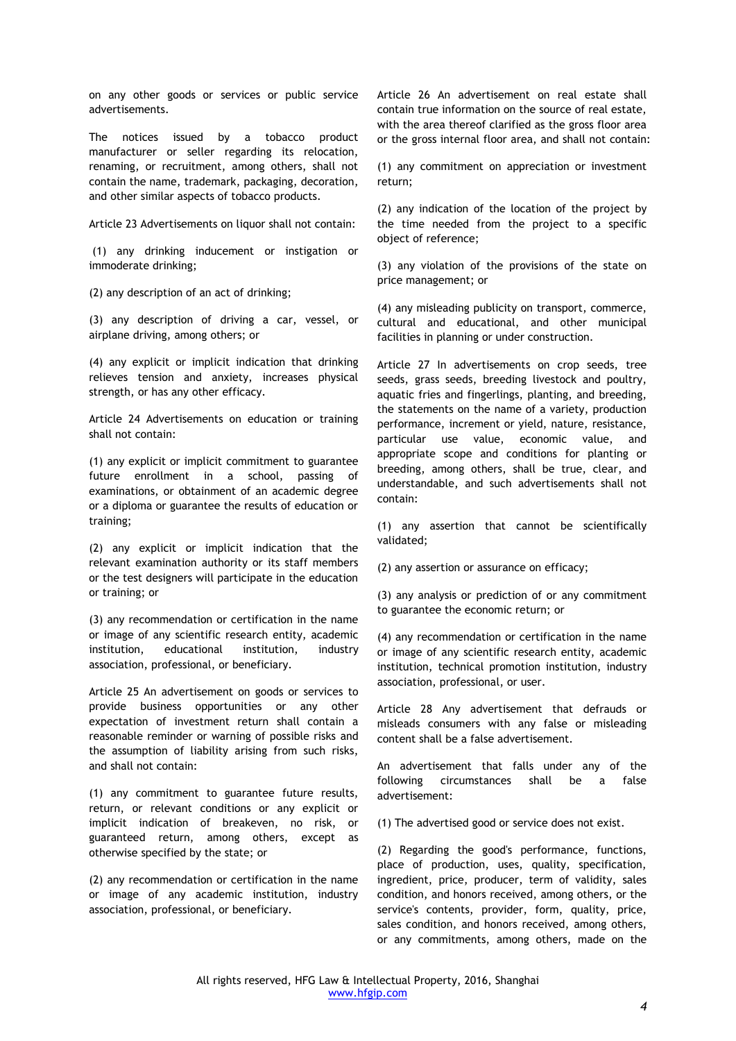on any other goods or services or public service advertisements.

The notices issued by a tobacco product manufacturer or seller regarding its relocation, renaming, or recruitment, among others, shall not contain the name, trademark, packaging, decoration, and other similar aspects of tobacco products.

Article 23 Advertisements on liquor shall not contain:

(1) any drinking inducement or instigation or immoderate drinking;

(2) any description of an act of drinking;

(3) any description of driving a car, vessel, or airplane driving, among others; or

(4) any explicit or implicit indication that drinking relieves tension and anxiety, increases physical strength, or has any other efficacy.

Article 24 Advertisements on education or training shall not contain:

(1) any explicit or implicit commitment to guarantee future enrollment in a school, passing of examinations, or obtainment of an academic degree or a diploma or guarantee the results of education or training;

(2) any explicit or implicit indication that the relevant examination authority or its staff members or the test designers will participate in the education or training; or

(3) any recommendation or certification in the name or image of any scientific research entity, academic institution, educational institution, industry association, professional, or beneficiary.

Article 25 An advertisement on goods or services to provide business opportunities or any other expectation of investment return shall contain a reasonable reminder or warning of possible risks and the assumption of liability arising from such risks, and shall not contain:

(1) any commitment to guarantee future results, return, or relevant conditions or any explicit or implicit indication of breakeven, no risk, or guaranteed return, among others, except as otherwise specified by the state; or

(2) any recommendation or certification in the name or image of any academic institution, industry association, professional, or beneficiary.

Article 26 An advertisement on real estate shall contain true information on the source of real estate, with the area thereof clarified as the gross floor area or the gross internal floor area, and shall not contain:

(1) any commitment on appreciation or investment return;

(2) any indication of the location of the project by the time needed from the project to a specific object of reference;

(3) any violation of the provisions of the state on price management; or

(4) any misleading publicity on transport, commerce, cultural and educational, and other municipal facilities in planning or under construction.

Article 27 In advertisements on crop seeds, tree seeds, grass seeds, breeding livestock and poultry, aquatic fries and fingerlings, planting, and breeding, the statements on the name of a variety, production performance, increment or yield, nature, resistance, particular use value, economic value, and appropriate scope and conditions for planting or breeding, among others, shall be true, clear, and understandable, and such advertisements shall not contain:

(1) any assertion that cannot be scientifically validated;

(2) any assertion or assurance on efficacy;

(3) any analysis or prediction of or any commitment to guarantee the economic return; or

(4) any recommendation or certification in the name or image of any scientific research entity, academic institution, technical promotion institution, industry association, professional, or user.

Article 28 Any advertisement that defrauds or misleads consumers with any false or misleading content shall be a false advertisement.

An advertisement that falls under any of the following circumstances shall be a false advertisement:

(1) The advertised good or service does not exist.

(2) Regarding the good's performance, functions, place of production, uses, quality, specification, ingredient, price, producer, term of validity, sales condition, and honors received, among others, or the service's contents, provider, form, quality, price, sales condition, and honors received, among others, or any commitments, among others, made on the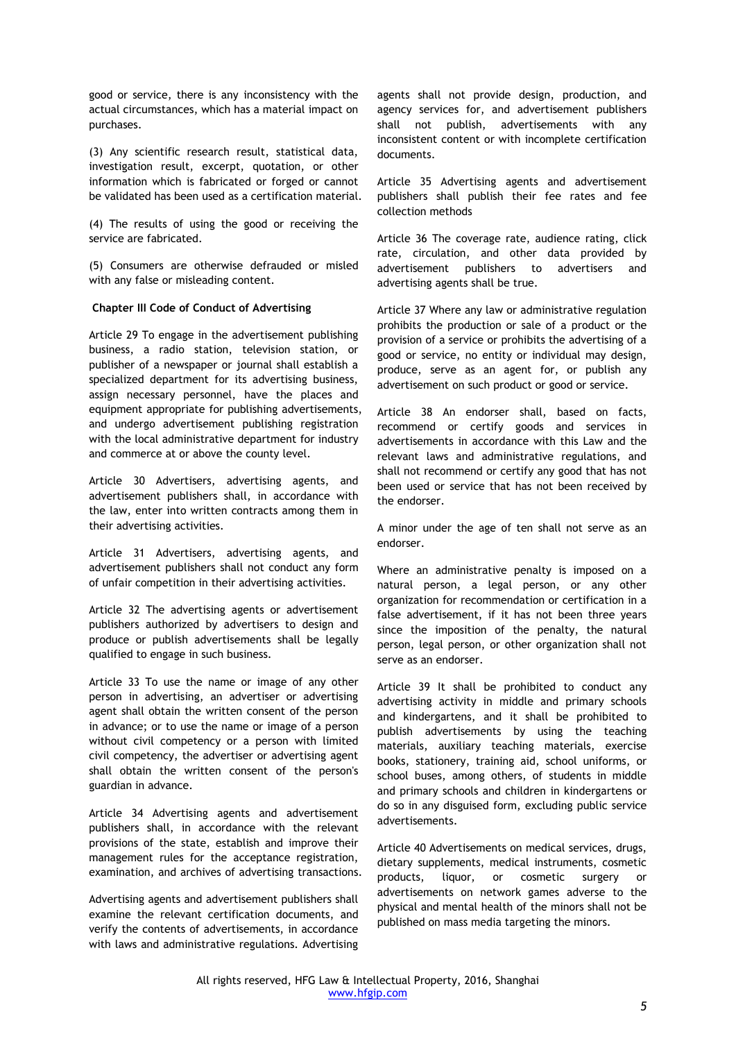good or service, there is any inconsistency with the actual circumstances, which has a material impact on purchases.

(3) Any scientific research result, statistical data, investigation result, excerpt, quotation, or other information which is fabricated or forged or cannot be validated has been used as a certification material.

(4) The results of using the good or receiving the service are fabricated.

(5) Consumers are otherwise defrauded or misled with any false or misleading content.

### **Chapter III Code of Conduct of Advertising**

Article 29 To engage in the advertisement publishing business, a radio station, television station, or publisher of a newspaper or journal shall establish a specialized department for its advertising business, assign necessary personnel, have the places and equipment appropriate for publishing advertisements, and undergo advertisement publishing registration with the local administrative department for industry and commerce at or above the county level.

Article 30 Advertisers, advertising agents, and advertisement publishers shall, in accordance with the law, enter into written contracts among them in their advertising activities.

Article 31 Advertisers, advertising agents, and advertisement publishers shall not conduct any form of unfair competition in their advertising activities.

Article 32 The advertising agents or advertisement publishers authorized by advertisers to design and produce or publish advertisements shall be legally qualified to engage in such business.

Article 33 To use the name or image of any other person in advertising, an advertiser or advertising agent shall obtain the written consent of the person in advance; or to use the name or image of a person without civil competency or a person with limited civil competency, the advertiser or advertising agent shall obtain the written consent of the person's guardian in advance.

Article 34 Advertising agents and advertisement publishers shall, in accordance with the relevant provisions of the state, establish and improve their management rules for the acceptance registration, examination, and archives of advertising transactions.

Advertising agents and advertisement publishers shall examine the relevant certification documents, and verify the contents of advertisements, in accordance with laws and administrative regulations. Advertising agents shall not provide design, production, and agency services for, and advertisement publishers shall not publish, advertisements with any inconsistent content or with incomplete certification documents.

Article 35 Advertising agents and advertisement publishers shall publish their fee rates and fee collection methods

Article 36 The coverage rate, audience rating, click rate, circulation, and other data provided by advertisement publishers to advertisers and advertising agents shall be true.

Article 37 Where any law or administrative regulation prohibits the production or sale of a product or the provision of a service or prohibits the advertising of a good or service, no entity or individual may design, produce, serve as an agent for, or publish any advertisement on such product or good or service.

Article 38 An endorser shall, based on facts, recommend or certify goods and services in advertisements in accordance with this Law and the relevant laws and administrative regulations, and shall not recommend or certify any good that has not been used or service that has not been received by the endorser.

A minor under the age of ten shall not serve as an endorser.

Where an administrative penalty is imposed on a natural person, a legal person, or any other organization for recommendation or certification in a false advertisement, if it has not been three years since the imposition of the penalty, the natural person, legal person, or other organization shall not serve as an endorser.

Article 39 It shall be prohibited to conduct any advertising activity in middle and primary schools and kindergartens, and it shall be prohibited to publish advertisements by using the teaching materials, auxiliary teaching materials, exercise books, stationery, training aid, school uniforms, or school buses, among others, of students in middle and primary schools and children in kindergartens or do so in any disguised form, excluding public service advertisements.

Article 40 Advertisements on medical services, drugs, dietary supplements, medical instruments, cosmetic products, liquor, or cosmetic surgery or advertisements on network games adverse to the physical and mental health of the minors shall not be published on mass media targeting the minors.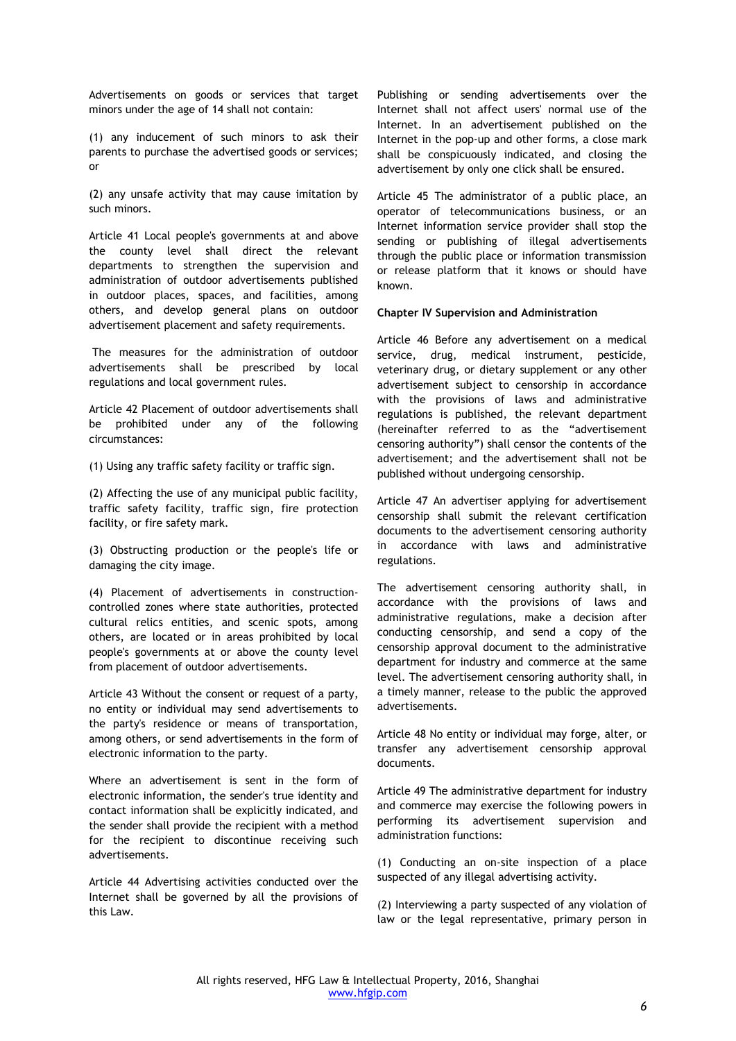Advertisements on goods or services that target minors under the age of 14 shall not contain:

(1) any inducement of such minors to ask their parents to purchase the advertised goods or services; or

(2) any unsafe activity that may cause imitation by such minors.

Article 41 Local people's governments at and above the county level shall direct the relevant departments to strengthen the supervision and administration of outdoor advertisements published in outdoor places, spaces, and facilities, among others, and develop general plans on outdoor advertisement placement and safety requirements.

The measures for the administration of outdoor advertisements shall be prescribed by local regulations and local government rules.

Article 42 Placement of outdoor advertisements shall be prohibited under any of the following circumstances:

(1) Using any traffic safety facility or traffic sign.

(2) Affecting the use of any municipal public facility, traffic safety facility, traffic sign, fire protection facility, or fire safety mark.

(3) Obstructing production or the people's life or damaging the city image.

(4) Placement of advertisements in constructioncontrolled zones where state authorities, protected cultural relics entities, and scenic spots, among others, are located or in areas prohibited by local people's governments at or above the county level from placement of outdoor advertisements.

Article 43 Without the consent or request of a party, no entity or individual may send advertisements to the party's residence or means of transportation, among others, or send advertisements in the form of electronic information to the party.

Where an advertisement is sent in the form of electronic information, the sender's true identity and contact information shall be explicitly indicated, and the sender shall provide the recipient with a method for the recipient to discontinue receiving such advertisements.

Article 44 Advertising activities conducted over the Internet shall be governed by all the provisions of this Law.

Publishing or sending advertisements over the Internet shall not affect users' normal use of the Internet. In an advertisement published on the Internet in the pop-up and other forms, a close mark shall be conspicuously indicated, and closing the advertisement by only one click shall be ensured.

Article 45 The administrator of a public place, an operator of telecommunications business, or an Internet information service provider shall stop the sending or publishing of illegal advertisements through the public place or information transmission or release platform that it knows or should have known.

#### **Chapter IV Supervision and Administration**

Article 46 Before any advertisement on a medical service, drug, medical instrument, pesticide, veterinary drug, or dietary supplement or any other advertisement subject to censorship in accordance with the provisions of laws and administrative regulations is published, the relevant department (hereinafter referred to as the "advertisement censoring authority") shall censor the contents of the advertisement; and the advertisement shall not be published without undergoing censorship.

Article 47 An advertiser applying for advertisement censorship shall submit the relevant certification documents to the advertisement censoring authority in accordance with laws and administrative regulations.

The advertisement censoring authority shall, in accordance with the provisions of laws and administrative regulations, make a decision after conducting censorship, and send a copy of the censorship approval document to the administrative department for industry and commerce at the same level. The advertisement censoring authority shall, in a timely manner, release to the public the approved advertisements.

Article 48 No entity or individual may forge, alter, or transfer any advertisement censorship approval documents.

Article 49 The administrative department for industry and commerce may exercise the following powers in performing its advertisement supervision and administration functions:

(1) Conducting an on-site inspection of a place suspected of any illegal advertising activity.

(2) Interviewing a party suspected of any violation of law or the legal representative, primary person in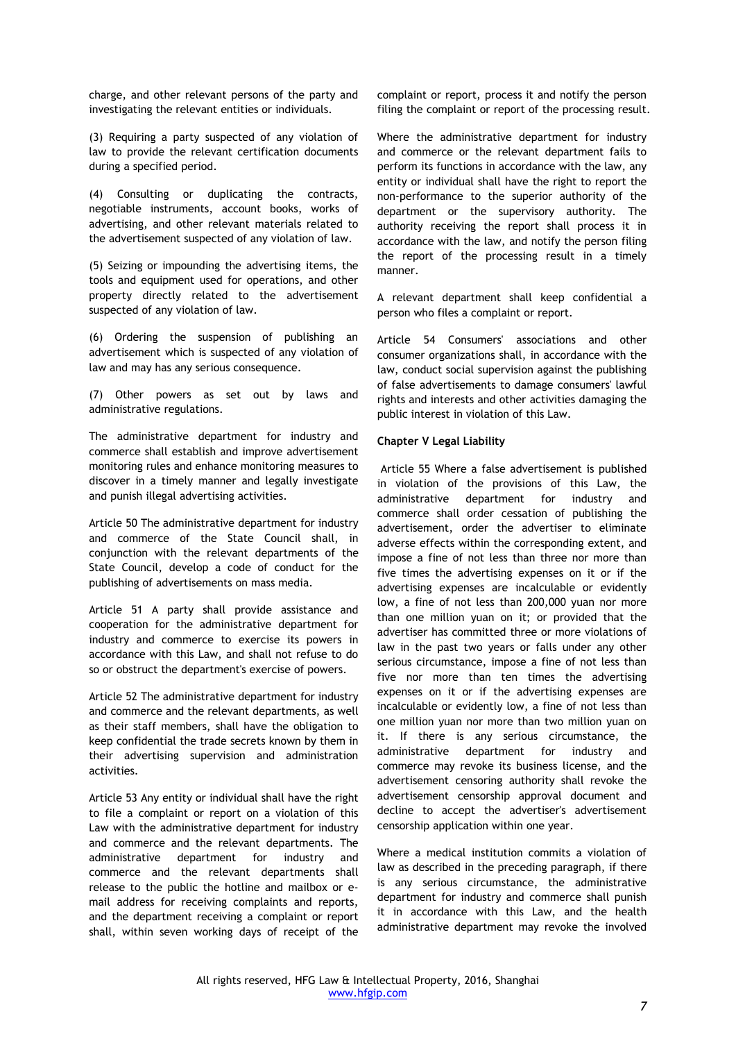charge, and other relevant persons of the party and investigating the relevant entities or individuals.

(3) Requiring a party suspected of any violation of law to provide the relevant certification documents during a specified period.

(4) Consulting or duplicating the contracts, negotiable instruments, account books, works of advertising, and other relevant materials related to the advertisement suspected of any violation of law.

(5) Seizing or impounding the advertising items, the tools and equipment used for operations, and other property directly related to the advertisement suspected of any violation of law.

(6) Ordering the suspension of publishing an advertisement which is suspected of any violation of law and may has any serious consequence.

(7) Other powers as set out by laws and administrative regulations.

The administrative department for industry and commerce shall establish and improve advertisement monitoring rules and enhance monitoring measures to discover in a timely manner and legally investigate and punish illegal advertising activities.

Article 50 The administrative department for industry and commerce of the State Council shall, in conjunction with the relevant departments of the State Council, develop a code of conduct for the publishing of advertisements on mass media.

Article 51 A party shall provide assistance and cooperation for the administrative department for industry and commerce to exercise its powers in accordance with this Law, and shall not refuse to do so or obstruct the department's exercise of powers.

Article 52 The administrative department for industry and commerce and the relevant departments, as well as their staff members, shall have the obligation to keep confidential the trade secrets known by them in their advertising supervision and administration activities.

Article 53 Any entity or individual shall have the right to file a complaint or report on a violation of this Law with the administrative department for industry and commerce and the relevant departments. The administrative department for industry and commerce and the relevant departments shall release to the public the hotline and mailbox or email address for receiving complaints and reports, and the department receiving a complaint or report shall, within seven working days of receipt of the

complaint or report, process it and notify the person filing the complaint or report of the processing result.

Where the administrative department for industry and commerce or the relevant department fails to perform its functions in accordance with the law, any entity or individual shall have the right to report the non-performance to the superior authority of the department or the supervisory authority. The authority receiving the report shall process it in accordance with the law, and notify the person filing the report of the processing result in a timely manner.

A relevant department shall keep confidential a person who files a complaint or report.

Article 54 Consumers' associations and other consumer organizations shall, in accordance with the law, conduct social supervision against the publishing of false advertisements to damage consumers' lawful rights and interests and other activities damaging the public interest in violation of this Law.

## **Chapter V Legal Liability**

Article 55 Where a false advertisement is published in violation of the provisions of this Law, the administrative department for industry and commerce shall order cessation of publishing the advertisement, order the advertiser to eliminate adverse effects within the corresponding extent, and impose a fine of not less than three nor more than five times the advertising expenses on it or if the advertising expenses are incalculable or evidently low, a fine of not less than 200,000 yuan nor more than one million yuan on it; or provided that the advertiser has committed three or more violations of law in the past two years or falls under any other serious circumstance, impose a fine of not less than five nor more than ten times the advertising expenses on it or if the advertising expenses are incalculable or evidently low, a fine of not less than one million yuan nor more than two million yuan on it. If there is any serious circumstance, the administrative department for industry and commerce may revoke its business license, and the advertisement censoring authority shall revoke the advertisement censorship approval document and decline to accept the advertiser's advertisement censorship application within one year.

Where a medical institution commits a violation of law as described in the preceding paragraph, if there is any serious circumstance, the administrative department for industry and commerce shall punish it in accordance with this Law, and the health administrative department may revoke the involved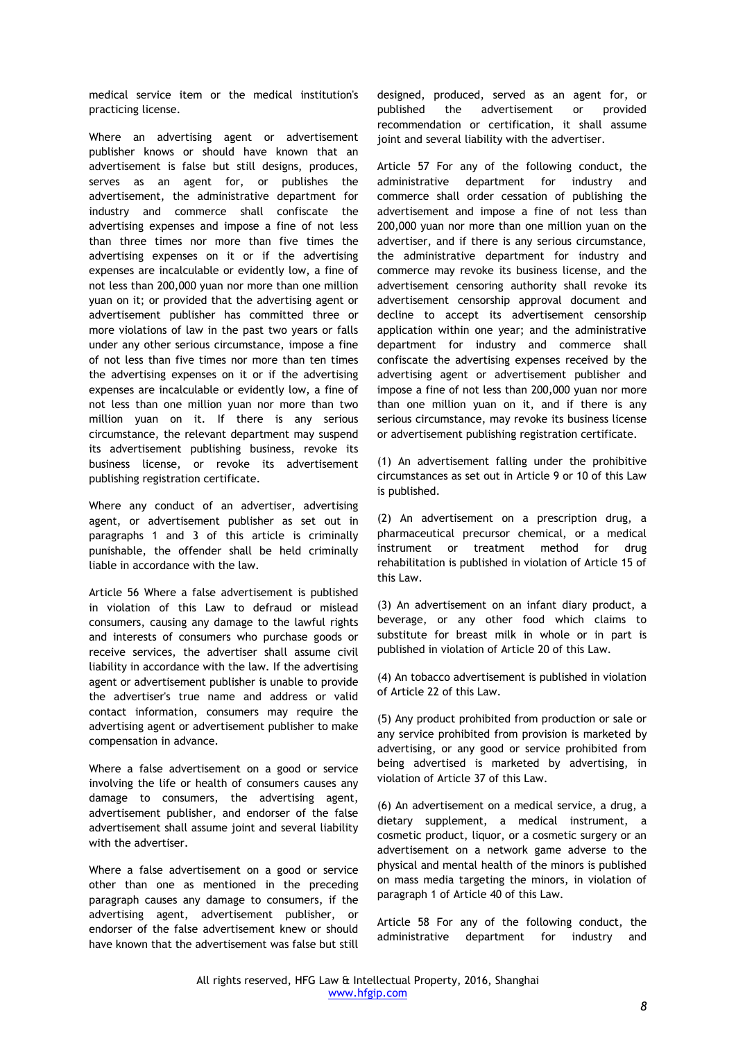medical service item or the medical institution's practicing license.

Where an advertising agent or advertisement publisher knows or should have known that an advertisement is false but still designs, produces, serves as an agent for, or publishes the advertisement, the administrative department for industry and commerce shall confiscate the advertising expenses and impose a fine of not less than three times nor more than five times the advertising expenses on it or if the advertising expenses are incalculable or evidently low, a fine of not less than 200,000 yuan nor more than one million yuan on it; or provided that the advertising agent or advertisement publisher has committed three or more violations of law in the past two years or falls under any other serious circumstance, impose a fine of not less than five times nor more than ten times the advertising expenses on it or if the advertising expenses are incalculable or evidently low, a fine of not less than one million yuan nor more than two million yuan on it. If there is any serious circumstance, the relevant department may suspend its advertisement publishing business, revoke its business license, or revoke its advertisement publishing registration certificate.

Where any conduct of an advertiser, advertising agent, or advertisement publisher as set out in paragraphs 1 and 3 of this article is criminally punishable, the offender shall be held criminally liable in accordance with the law.

Article 56 Where a false advertisement is published in violation of this Law to defraud or mislead consumers, causing any damage to the lawful rights and interests of consumers who purchase goods or receive services, the advertiser shall assume civil liability in accordance with the law. If the advertising agent or advertisement publisher is unable to provide the advertiser's true name and address or valid contact information, consumers may require the advertising agent or advertisement publisher to make compensation in advance.

Where a false advertisement on a good or service involving the life or health of consumers causes any damage to consumers, the advertising agent, advertisement publisher, and endorser of the false advertisement shall assume joint and several liability with the advertiser.

Where a false advertisement on a good or service other than one as mentioned in the preceding paragraph causes any damage to consumers, if the advertising agent, advertisement publisher, or endorser of the false advertisement knew or should have known that the advertisement was false but still

designed, produced, served as an agent for, or published the advertisement or provided recommendation or certification, it shall assume joint and several liability with the advertiser.

Article 57 For any of the following conduct, the administrative department for industry and commerce shall order cessation of publishing the advertisement and impose a fine of not less than 200,000 yuan nor more than one million yuan on the advertiser, and if there is any serious circumstance, the administrative department for industry and commerce may revoke its business license, and the advertisement censoring authority shall revoke its advertisement censorship approval document and decline to accept its advertisement censorship application within one year; and the administrative department for industry and commerce shall confiscate the advertising expenses received by the advertising agent or advertisement publisher and impose a fine of not less than 200,000 yuan nor more than one million yuan on it, and if there is any serious circumstance, may revoke its business license or advertisement publishing registration certificate.

(1) An advertisement falling under the prohibitive circumstances as set out in Article 9 or 10 of this Law is published.

(2) An advertisement on a prescription drug, a pharmaceutical precursor chemical, or a medical instrument or treatment method for drug rehabilitation is published in violation of Article 15 of this Law.

(3) An advertisement on an infant diary product, a beverage, or any other food which claims to substitute for breast milk in whole or in part is published in violation of Article 20 of this Law.

(4) An tobacco advertisement is published in violation of Article 22 of this Law.

(5) Any product prohibited from production or sale or any service prohibited from provision is marketed by advertising, or any good or service prohibited from being advertised is marketed by advertising, in violation of Article 37 of this Law.

(6) An advertisement on a medical service, a drug, a dietary supplement, a medical instrument, a cosmetic product, liquor, or a cosmetic surgery or an advertisement on a network game adverse to the physical and mental health of the minors is published on mass media targeting the minors, in violation of paragraph 1 of Article 40 of this Law.

Article 58 For any of the following conduct, the administrative department for industry and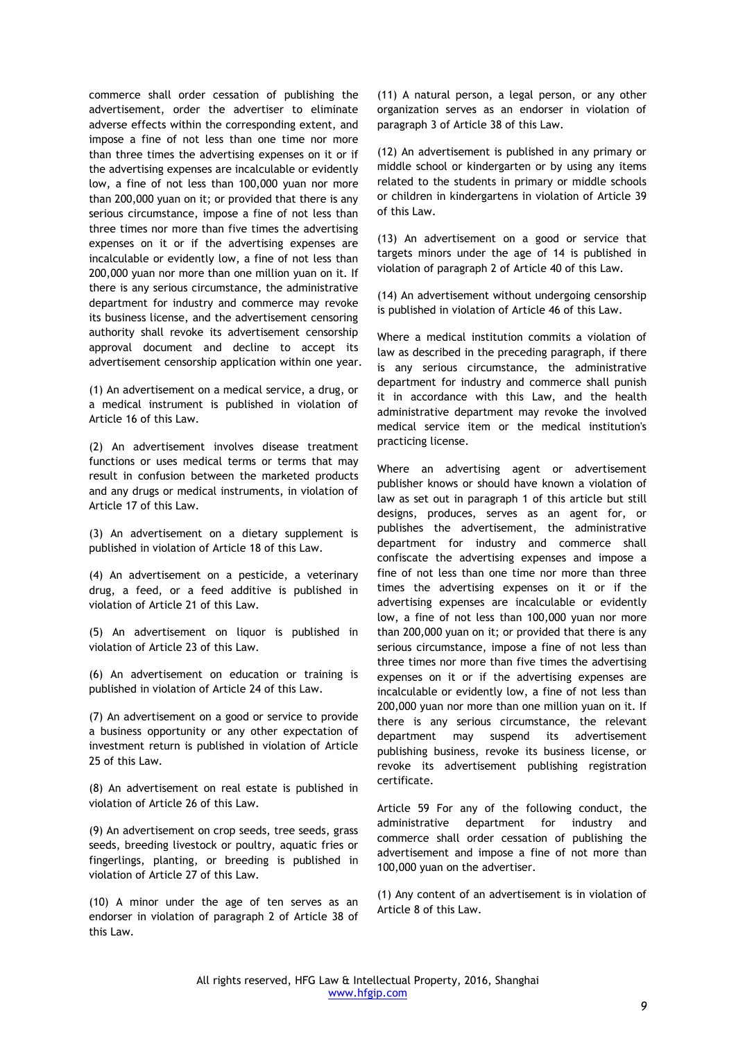commerce shall order cessation of publishing the advertisement, order the advertiser to eliminate adverse effects within the corresponding extent, and impose a fine of not less than one time nor more than three times the advertising expenses on it or if the advertising expenses are incalculable or evidently low, a fine of not less than 100,000 yuan nor more than 200,000 yuan on it; or provided that there is any serious circumstance, impose a fine of not less than three times nor more than five times the advertising expenses on it or if the advertising expenses are incalculable or evidently low, a fine of not less than 200,000 yuan nor more than one million yuan on it. If there is any serious circumstance, the administrative department for industry and commerce may revoke its business license, and the advertisement censoring authority shall revoke its advertisement censorship approval document and decline to accept its advertisement censorship application within one year.

(1) An advertisement on a medical service, a drug, or a medical instrument is published in violation of Article 16 of this Law.

(2) An advertisement involves disease treatment functions or uses medical terms or terms that may result in confusion between the marketed products and any drugs or medical instruments, in violation of Article 17 of this Law.

(3) An advertisement on a dietary supplement is published in violation of Article 18 of this Law.

(4) An advertisement on a pesticide, a veterinary drug, a feed, or a feed additive is published in violation of Article 21 of this Law.

(5) An advertisement on liquor is published in violation of Article 23 of this Law.

(6) An advertisement on education or training is published in violation of Article 24 of this Law.

(7) An advertisement on a good or service to provide a business opportunity or any other expectation of investment return is published in violation of Article 25 of this Law.

(8) An advertisement on real estate is published in violation of Article 26 of this Law.

(9) An advertisement on crop seeds, tree seeds, grass seeds, breeding livestock or poultry, aquatic fries or fingerlings, planting, or breeding is published in violation of Article 27 of this Law.

(10) A minor under the age of ten serves as an endorser in violation of paragraph 2 of Article 38 of this Law.

(11) A natural person, a legal person, or any other organization serves as an endorser in violation of paragraph 3 of Article 38 of this Law.

(12) An advertisement is published in any primary or middle school or kindergarten or by using any items related to the students in primary or middle schools or children in kindergartens in violation of Article 39 of this Law.

(13) An advertisement on a good or service that targets minors under the age of 14 is published in violation of paragraph 2 of Article 40 of this Law.

(14) An advertisement without undergoing censorship is published in violation of Article 46 of this Law.

Where a medical institution commits a violation of law as described in the preceding paragraph, if there is any serious circumstance, the administrative department for industry and commerce shall punish it in accordance with this Law, and the health administrative department may revoke the involved medical service item or the medical institution's practicing license.

Where an advertising agent or advertisement publisher knows or should have known a violation of law as set out in paragraph 1 of this article but still designs, produces, serves as an agent for, or publishes the advertisement, the administrative department for industry and commerce shall confiscate the advertising expenses and impose a fine of not less than one time nor more than three times the advertising expenses on it or if the advertising expenses are incalculable or evidently low, a fine of not less than 100,000 yuan nor more than 200,000 yuan on it; or provided that there is any serious circumstance, impose a fine of not less than three times nor more than five times the advertising expenses on it or if the advertising expenses are incalculable or evidently low, a fine of not less than 200,000 yuan nor more than one million yuan on it. If there is any serious circumstance, the relevant department may suspend its advertisement publishing business, revoke its business license, or revoke its advertisement publishing registration certificate.

Article 59 For any of the following conduct, the administrative department for industry and commerce shall order cessation of publishing the advertisement and impose a fine of not more than 100,000 yuan on the advertiser.

(1) Any content of an advertisement is in violation of Article 8 of this Law.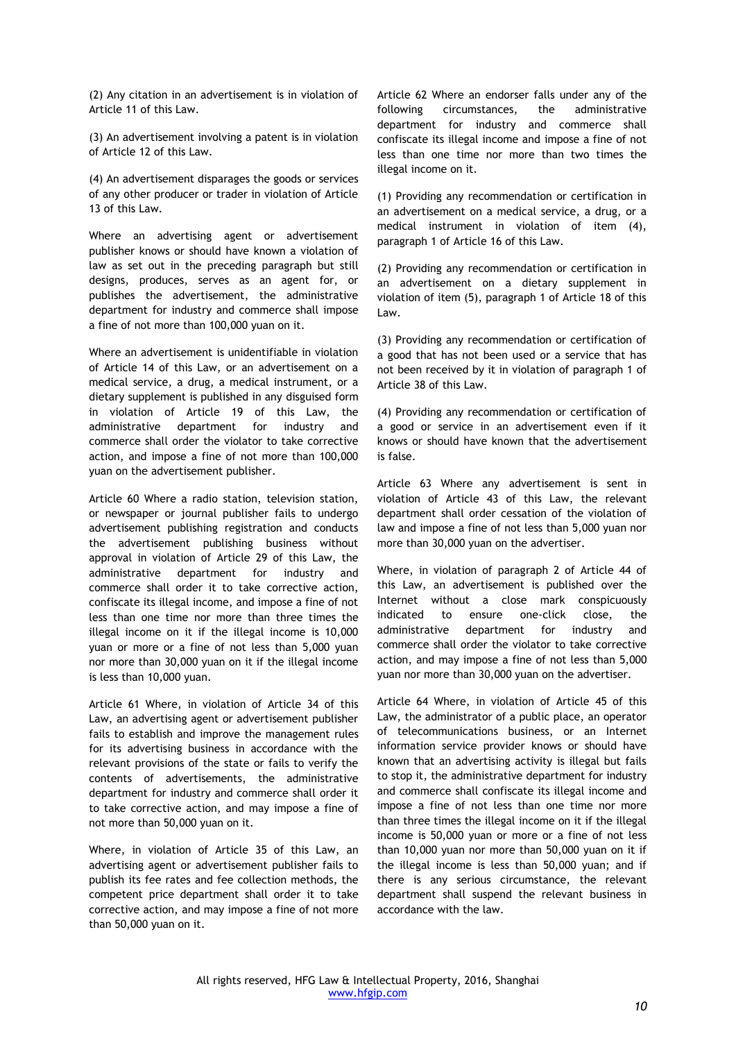(2) Any citation in an advertisement is in violation of Article 11 of this Law.

(3) An advertisement involving a patent is in violation of Article 12 of this Law.

(4) An advertisement disparages the goods or services of any other producer or trader in violation of Article 13 of this Law.

Where an advertising agent or advertisement publisher knows or should have known a violation of law as set out in the preceding paragraph but still designs, produces, serves as an agent for, or publishes the advertisement, the administrative department for industry and commerce shall impose a fine of not more than 100,000 yuan on it.

Where an advertisement is unidentifiable in violation of Article 14 of this Law, or an advertisement on a medical service, a drug, a medical instrument, or a dietary supplement is published in any disguised form in violation of Article 19 of this Law, the administrative department for industry and commerce shall order the violator to take corrective action, and impose a fine of not more than 100,000 yuan on the advertisement publisher.

Article 60 Where a radio station, television station, or newspaper or journal publisher fails to undergo advertisement publishing registration and conducts the advertisement publishing business without approval in violation of Article 29 of this Law, the administrative department for industry and commerce shall order it to take corrective action, confiscate its illegal income, and impose a fine of not less than one time nor more than three times the illegal income on it if the illegal income is 10,000 yuan or more or a fine of not less than 5,000 yuan nor more than 30,000 yuan on it if the illegal income is less than 10,000 yuan.

Article 61 Where, in violation of Article 34 of this Law, an advertising agent or advertisement publisher fails to establish and improve the management rules for its advertising business in accordance with the relevant provisions of the state or fails to verify the contents of advertisements, the administrative department for industry and commerce shall order it to take corrective action, and may impose a fine of not more than 50,000 yuan on it.

Where, in violation of Article 35 of this Law, an advertising agent or advertisement publisher fails to publish its fee rates and fee collection methods, the competent price department shall order it to take corrective action, and may impose a fine of not more than 50,000 yuan on it.

Article 62 Where an endorser falls under any of the following circumstances, the administrative department for industry and commerce shall confiscate its illegal income and impose a fine of not less than one time nor more than two times the illegal income on it.

(1) Providing any recommendation or certification in an advertisement on a medical service, a drug, or a medical instrument in violation of item (4), paragraph 1 of Article 16 of this Law.

(2) Providing any recommendation or certification in an advertisement on a dietary supplement in violation of item (5), paragraph 1 of Article 18 of this Law.

(3) Providing any recommendation or certification of a good that has not been used or a service that has not been received by it in violation of paragraph 1 of Article 38 of this Law.

(4) Providing any recommendation or certification of a good or service in an advertisement even if it knows or should have known that the advertisement is false.

Article 63 Where any advertisement is sent in violation of Article 43 of this Law, the relevant department shall order cessation of the violation of law and impose a fine of not less than 5,000 yuan nor more than 30,000 yuan on the advertiser.

Where, in violation of paragraph 2 of Article 44 of this Law, an advertisement is published over the Internet without a close mark conspicuously indicated to ensure one-click close, the administrative department for industry and commerce shall order the violator to take corrective action, and may impose a fine of not less than 5,000 yuan nor more than 30,000 yuan on the advertiser.

Article 64 Where, in violation of Article 45 of this Law, the administrator of a public place, an operator of telecommunications business, or an Internet information service provider knows or should have known that an advertising activity is illegal but fails to stop it, the administrative department for industry and commerce shall confiscate its illegal income and impose a fine of not less than one time nor more than three times the illegal income on it if the illegal income is 50,000 yuan or more or a fine of not less than 10,000 yuan nor more than 50,000 yuan on it if the illegal income is less than 50,000 yuan; and if there is any serious circumstance, the relevant department shall suspend the relevant business in accordance with the law.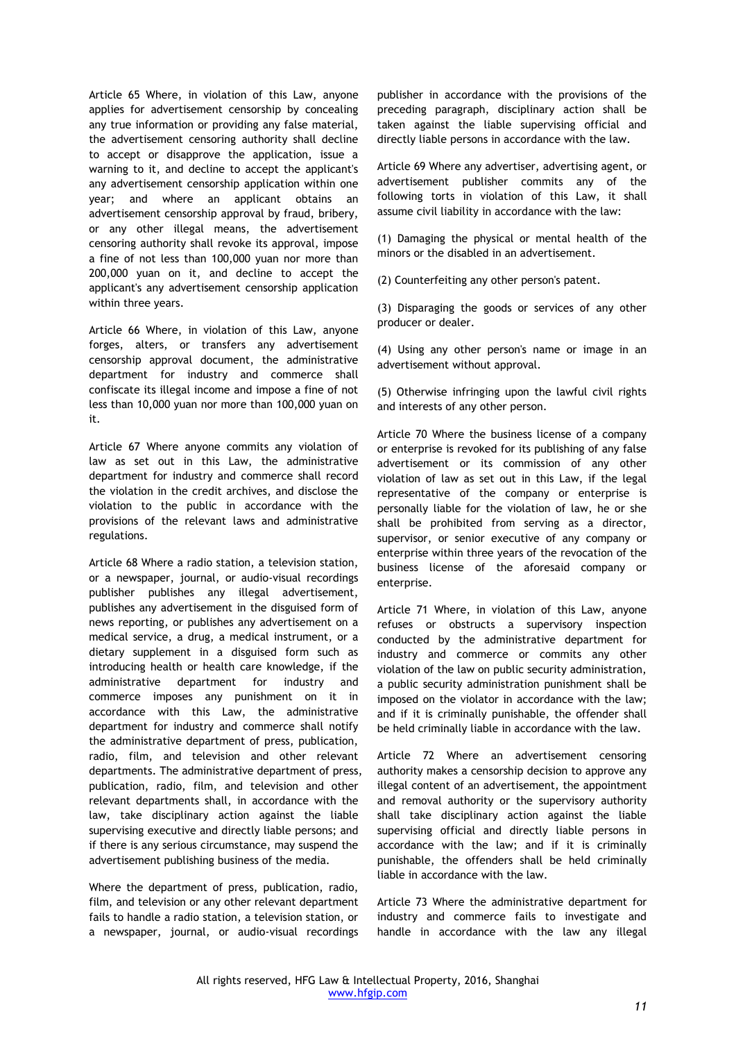Article 65 Where, in violation of this Law, anyone applies for advertisement censorship by concealing any true information or providing any false material, the advertisement censoring authority shall decline to accept or disapprove the application, issue a warning to it, and decline to accept the applicant's any advertisement censorship application within one year; and where an applicant obtains an advertisement censorship approval by fraud, bribery, or any other illegal means, the advertisement censoring authority shall revoke its approval, impose a fine of not less than 100,000 yuan nor more than 200,000 yuan on it, and decline to accept the applicant's any advertisement censorship application within three years.

Article 66 Where, in violation of this Law, anyone forges, alters, or transfers any advertisement censorship approval document, the administrative department for industry and commerce shall confiscate its illegal income and impose a fine of not less than 10,000 yuan nor more than 100,000 yuan on it.

Article 67 Where anyone commits any violation of law as set out in this Law, the administrative department for industry and commerce shall record the violation in the credit archives, and disclose the violation to the public in accordance with the provisions of the relevant laws and administrative regulations.

Article 68 Where a radio station, a television station, or a newspaper, journal, or audio-visual recordings publisher publishes any illegal advertisement, publishes any advertisement in the disguised form of news reporting, or publishes any advertisement on a medical service, a drug, a medical instrument, or a dietary supplement in a disguised form such as introducing health or health care knowledge, if the administrative department for industry and commerce imposes any punishment on it in accordance with this Law, the administrative department for industry and commerce shall notify the administrative department of press, publication, radio, film, and television and other relevant departments. The administrative department of press, publication, radio, film, and television and other relevant departments shall, in accordance with the law, take disciplinary action against the liable supervising executive and directly liable persons; and if there is any serious circumstance, may suspend the advertisement publishing business of the media.

Where the department of press, publication, radio, film, and television or any other relevant department fails to handle a radio station, a television station, or a newspaper, journal, or audio-visual recordings publisher in accordance with the provisions of the preceding paragraph, disciplinary action shall be taken against the liable supervising official and directly liable persons in accordance with the law.

Article 69 Where any advertiser, advertising agent, or advertisement publisher commits any of the following torts in violation of this Law, it shall assume civil liability in accordance with the law:

(1) Damaging the physical or mental health of the minors or the disabled in an advertisement.

(2) Counterfeiting any other person's patent.

(3) Disparaging the goods or services of any other producer or dealer.

(4) Using any other person's name or image in an advertisement without approval.

(5) Otherwise infringing upon the lawful civil rights and interests of any other person.

Article 70 Where the business license of a company or enterprise is revoked for its publishing of any false advertisement or its commission of any other violation of law as set out in this Law, if the legal representative of the company or enterprise is personally liable for the violation of law, he or she shall be prohibited from serving as a director, supervisor, or senior executive of any company or enterprise within three years of the revocation of the business license of the aforesaid company or enterprise.

Article 71 Where, in violation of this Law, anyone refuses or obstructs a supervisory inspection conducted by the administrative department for industry and commerce or commits any other violation of the law on public security administration, a public security administration punishment shall be imposed on the violator in accordance with the law; and if it is criminally punishable, the offender shall be held criminally liable in accordance with the law.

Article 72 Where an advertisement censoring authority makes a censorship decision to approve any illegal content of an advertisement, the appointment and removal authority or the supervisory authority shall take disciplinary action against the liable supervising official and directly liable persons in accordance with the law; and if it is criminally punishable, the offenders shall be held criminally liable in accordance with the law.

Article 73 Where the administrative department for industry and commerce fails to investigate and handle in accordance with the law any illegal